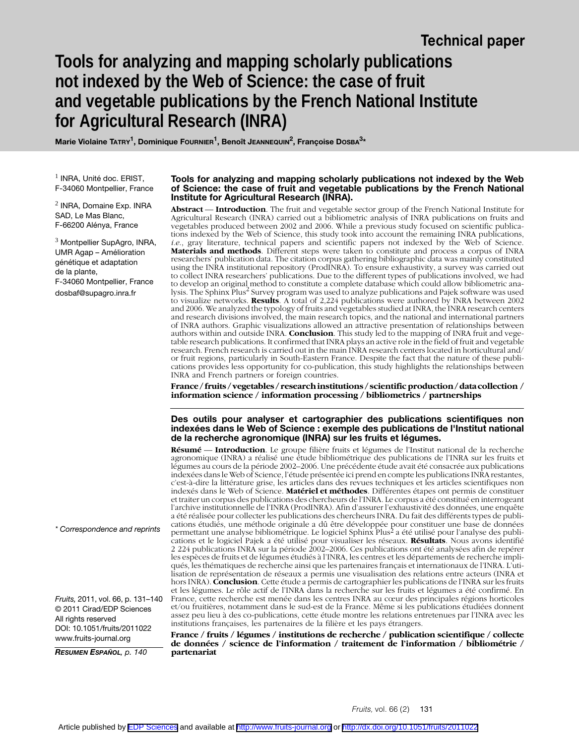# **Tools for analyzing and mapping scholarly publications not indexed by the Web of Science: the case of fruit and vegetable publications by the French National Institute for Agricultural Research (INRA)**

**Marie Violaine TATRY1, Dominique FOURNIER1, Benoît JEANNEQUIN2, Françoise DOSBA3\***

 $<sup>1</sup>$  INRA, Unité doc. ERIST,</sup> F-34060 Montpellier, France

2 INRA, Domaine Exp. INRA SAD, Le Mas Blanc, F-66200 Alénya, France

 $3$  Montpellier SupAgro, INRA, UMR Agap – Amélioration génétique et adaptation de la plante, F-34060 Montpellier, France dosbaf@supagro.inra.fr

#### **Tools for analyzing and mapping scholarly publications not indexed by the Web of Science: the case of fruit and vegetable publications by the French National Institute for Agricultural Research (INRA).**

**Abstract** — **Introduction**. The fruit and vegetable sector group of the French National Institute for Agricultural Research (INRA) carried out a bibliometric analysis of INRA publications on fruits and vegetables produced between 2002 and 2006. While a previous study focused on scientific publications indexed by the Web of Science, this study took into account the remaining INRA publications, *i.e*., gray literature, technical papers and scientific papers not indexed by the Web of Science. **Materials and methods**. Different steps were taken to constitute and process a corpus of INRA researchers' publication data. The citation corpus gathering bibliographic data was mainly constituted using the INRA institutional repository (ProdINRA). To ensure exhaustivity, a survey was carried out to collect INRA researchers' publications. Due to the different types of publications involved, we had to develop an original method to constitute a complete database which could allow bibliometric analysis. The Sphinx Plus<sup>2</sup> Survey program was used to analyze publications and Pajek software was used to visualize networks. **Results**. A total of 2,224 publications were authored by INRA between 2002 and 2006. We analyzed the typology of fruits and vegetables studied at INRA, the INRA research centers and research divisions involved, the main research topics, and the national and international partners of INRA authors. Graphic visualizations allowed an attractive presentation of relationships between authors within and outside INRA. **Conclusion**. This study led to the mapping of INRA fruit and vegetable research publications. It confirmed that INRA plays an active role in the field of fruit and vegetable research. French research is carried out in the main INRA research centers located in horticultural and/ or fruit regions, particularly in South-Eastern France. Despite the fact that the nature of these publications provides less opportunity for co-publication, this study highlights the relationships between INRA and French partners or foreign countries.

**France / fruits / vegetables / research institutions / scientific production / data collection / information science / information processing / bibliometrics / partnerships** 

#### **Des outils pour analyser et cartographier des publications scientifiques non indexées dans le Web of Science : exemple des publications de l'Institut national de la recherche agronomique (INRA) sur les fruits et légumes.**

**Résumé** — **Introduction**. Le groupe filière fruits et légumes de l'Institut national de la recherche agronomique (INRA) a réalisé une étude bibliométrique des publications de l'INRA sur les fruits et légumes au cours de la période 2002–2006. Une précédente étude avait été consacrée aux publications indexées dans le Web of Science, l'étude présentée ici prend en compte les publications INRA restantes, c'est-à-dire la littérature grise, les articles dans des revues techniques et les articles scientifiques non indexés dans le Web of Science. **Matériel et méthodes**. Différentes étapes ont permis de constituer et traiter un corpus des publications des chercheurs de l'INRA. Le corpus a été constitué en interrogeant l'archive institutionnelle de l'INRA (ProdINRA). Afin d'assurer l'exhaustivité des données, une enquête a été réalisée pour collecter les publications des chercheurs INRA. Du fait des différents types de publications étudiés, une méthode originale a dû être développée pour constituer une base de données permettant une analyse bibliométrique. Le logiciel Sphinx Plus2 a été utilisé pour l'analyse des publications et le logiciel Pajek a été utilisé pour visualiser les réseaux. **Résultats**. Nous avons identifié 2 224 publications INRA sur la période 2002–2006. Ces publications ont été analysées afin de repérer les espèces de fruits et de légumes étudiés à l'INRA, les centres et les départements de recherche impliqués, les thématiques de recherche ainsi que les partenaires français et internationaux de l'INRA. L'utilisation de représentation de réseaux a permis une visualisation des relations entre acteurs (INRA et hors INRA). **Conclusion**. Cette étude a permis de cartographier les publications de l'INRA sur les fruits et les légumes. Le rôle actif de l'INRA dans la recherche sur les fruits et légumes a été confirmé. En France, cette recherche est menée dans les centres INRA au cœur des principales régions horticoles et/ou fruitières, notamment dans le sud-est de la France. Même si les publications étudiées donnent assez peu lieu à des co-publications, cette étude montre les relations entretenues par l'INRA avec les institutions françaises, les partenaires de la filière et les pays étrangers.

**France / fruits / légumes / institutions de recherche / publication scientifique / collecte de données / science de l'information / traitement de l'information / bibliométrie / partenariat**

*\* Correspondence and reprints*

*Fruits,* 2011, vol. 66, p. 131–140 © 2011 Cirad/EDP Sciences All rights reserved DOI: 10.1051/fruits/2011022 www.fruits-journal.org

*RESUMEN ESPAÑOL, p. 140*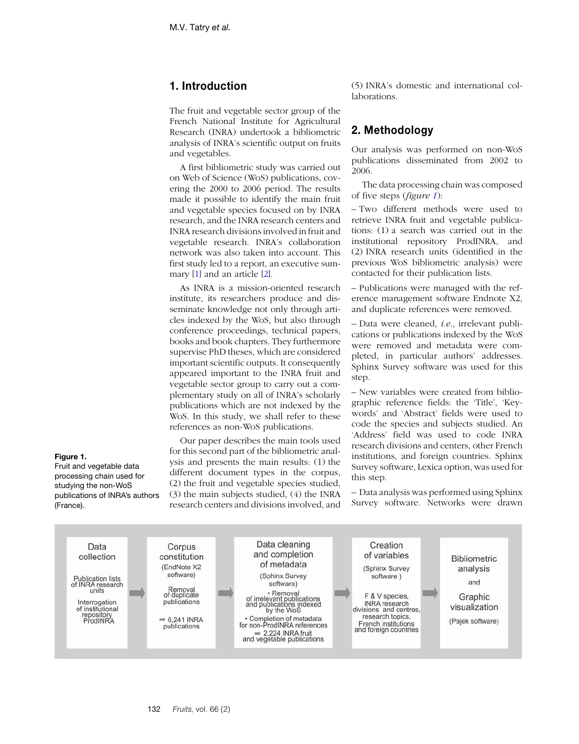# **1. Introduction**

The fruit and vegetable sector group of the French National Institute for Agricultural Research (INRA) undertook a bibliometric analysis of INRA's scientific output on fruits and vegetables.

A first bibliometric study was carried out on Web of Science (WoS) publications, covering the 2000 to 2006 period. The results made it possible to identify the main fruit and vegetable species focused on by INRA research, and the INRA research centers and INRA research divisions involved in fruit and vegetable research. INRA's collaboration network was also taken into account. This first study led to a report, an executive summary [[1\]](#page-8-0) and an article [[2\]](#page-9-0).

As INRA is a mission-oriented research institute, its researchers produce and disseminate knowledge not only through articles indexed by the WoS, but also through conference proceedings, technical papers, books and book chapters. They furthermore supervise PhD theses, which are considered important scientific outputs. It consequently appeared important to the INRA fruit and vegetable sector group to carry out a complementary study on all of INRA's scholarly publications which are not indexed by the WoS. In this study, we shall refer to these references as non-WoS publications.

Our paper describes the main tools used for this second part of the bibliometric analysis and presents the main results: (1) the different document types in the corpus, (2) the fruit and vegetable species studied, (3) the main subjects studied, (4) the INRA research centers and divisions involved, and

(5) INRA's domestic and international collaborations.

# **2. Methodology**

Our analysis was performed on non-WoS publications disseminated from 2002 to 2006.

The data processing chain was composed of five steps (*figure 1*):

– Two different methods were used to retrieve INRA fruit and vegetable publications: (1) a search was carried out in the institutional repository ProdINRA, and (2) INRA research units (identified in the previous WoS bibliometric analysis) were contacted for their publication lists.

– Publications were managed with the reference management software Endnote X2, and duplicate references were removed.

– Data were cleaned, *i.e*., irrelevant publications or publications indexed by the WoS were removed and metadata were completed, in particular authors' addresses. Sphinx Survey software was used for this step.

– New variables were created from bibliographic reference fields: the 'Title', 'Keywords' and 'Abstract' fields were used to code the species and subjects studied. An 'Address' field was used to code INRA research divisions and centers, other French institutions, and foreign countries. Sphinx Survey software, Lexica option, was used for this step.

– Data analysis was performed using Sphinx Survey software. Networks were drawn



#### **Figure 1.** Fruit and vegetable data

(France).

processing chain used for studying the non-WoS publications of INRA's authors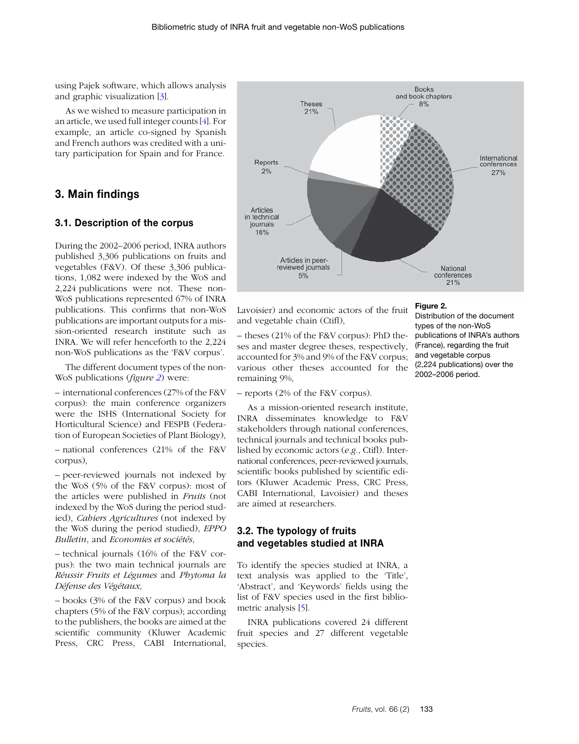using Pajek software, which allows analysis and graphic visualization [\[3\]](#page-9-1).

As we wished to measure participation in an article, we used full integer counts [[4](#page-9-2)]. For example, an article co-signed by Spanish and French authors was credited with a unitary participation for Spain and for France.

# **3. Main findings**

#### **3.1. Description of the corpus**

During the 2002–2006 period, INRA authors published 3,306 publications on fruits and vegetables (F&V). Of these 3,306 publications, 1,082 were indexed by the WoS and 2,224 publications were not. These non-WoS publications represented 67% of INRA publications. This confirms that non-WoS publications are important outputs for a mission-oriented research institute such as INRA. We will refer henceforth to the 2,224 non-WoS publications as the 'F&V corpus'.

The different document types of the non-WoS publications (*figure 2*) were:

– international conferences (27% of the F&V corpus): the main conference organizers were the ISHS (International Society for Horticultural Science) and FESPB (Federation of European Societies of Plant Biology),

– national conferences (21% of the F&V corpus),

– peer-reviewed journals not indexed by the WoS (5% of the F&V corpus): most of the articles were published in *Fruits* (not indexed by the WoS during the period studied), *Cahiers Agricultures* (not indexed by the WoS during the period studied), *EPPO Bulletin*, and *Economies et sociétés*,

– technical journals (16% of the F&V corpus): the two main technical journals are *Réussir Fruits et Légumes* and *Phytoma la Défense des Végétaux,*

– books (3% of the F&V corpus) and book chapters (5% of the F&V corpus); according to the publishers, the books are aimed at the scientific community (Kluwer Academic Press, CRC Press, CABI International,



Lavoisier) and economic actors of the fruit and vegetable chain (Ctifl),

– theses (21% of the F&V corpus): PhD theses and master degree theses, respectively, accounted for 3% and 9% of the F&V corpus; various other theses accounted for the remaining 9%,

– reports (2% of the F&V corpus).

As a mission-oriented research institute, INRA disseminates knowledge to F&V stakeholders through national conferences, technical journals and technical books published by economic actors (*e.g.*, Ctifl). International conferences, peer-reviewed journals, scientific books published by scientific editors (Kluwer Academic Press, CRC Press, CABI International, Lavoisier) and theses are aimed at researchers.

### **3.2. The typology of fruits and vegetables studied at INRA**

To identify the species studied at INRA, a text analysis was applied to the 'Title', 'Abstract', and 'Keywords' fields using the list of F&V species used in the first bibliometric analysis [[5\]](#page-9-3).

INRA publications covered 24 different fruit species and 27 different vegetable species.

#### **Figure 2.**

Distribution of the document types of the non-WoS publications of INRA's authors (France), regarding the fruit and vegetable corpus (2,224 publications) over the 2002–2006 period.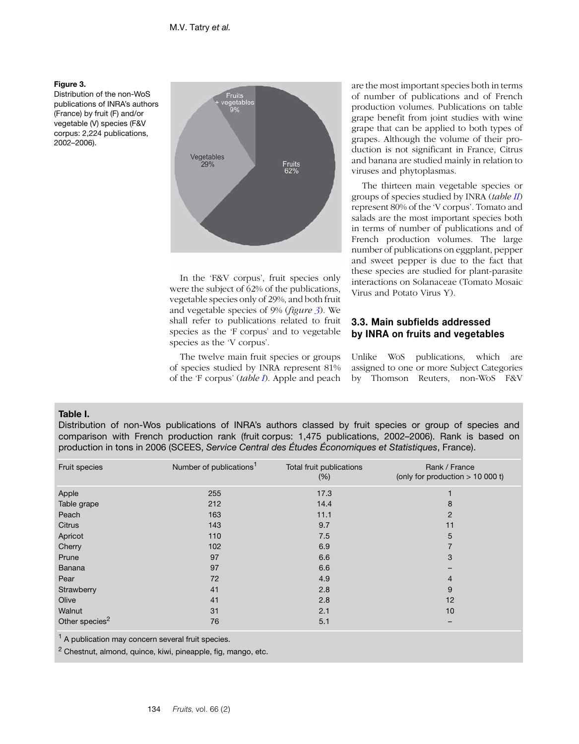### **Figure 3.**

Distribution of the non-WoS publications of INRA's authors (France) by fruit (F) and/or vegetable (V) species (F&V corpus: 2,224 publications, 2002–2006).



In the 'F&V corpus', fruit species only were the subject of 62% of the publications, vegetable species only of 29%, and both fruit and vegetable species of 9% (*figure 3*). We shall refer to publications related to fruit species as the 'F corpus' and to vegetable species as the 'V corpus'.

The twelve main fruit species or groups of species studied by INRA represent 81% of the 'F corpus' (*table I*). Apple and peach are the most important species both in terms of number of publications and of French production volumes. Publications on table grape benefit from joint studies with wine grape that can be applied to both types of grapes. Although the volume of their production is not significant in France, Citrus and banana are studied mainly in relation to viruses and phytoplasmas.

The thirteen main vegetable species or groups of species studied by INRA (*table II*) represent 80% of the 'V corpus'. Tomato and salads are the most important species both in terms of number of publications and of French production volumes. The large number of publications on eggplant, pepper and sweet pepper is due to the fact that these species are studied for plant-parasite interactions on Solanaceae (Tomato Mosaic Virus and Potato Virus Y).

# **3.3. Main subfields addressed by INRA on fruits and vegetables**

Unlike WoS publications, which are assigned to one or more Subject Categories by Thomson Reuters, non-WoS F&V

### **Table I.**

Distribution of non-Wos publications of INRA's authors classed by fruit species or group of species and comparison with French production rank (fruit corpus: 1,475 publications, 2002–2006). Rank is based on production in tons in 2006 (SCEES, *Service Central des Études Économiques et Statistiques*, France).

| Fruit species              | Number of publications <sup>1</sup> | Total fruit publications<br>(% ) | Rank / France<br>(only for production $> 10000$ t) |
|----------------------------|-------------------------------------|----------------------------------|----------------------------------------------------|
| Apple                      | 255                                 | 17.3                             |                                                    |
| Table grape                | 212                                 | 14.4                             | 8                                                  |
| Peach                      | 163                                 | 11.1                             | 2                                                  |
| Citrus                     | 143                                 | 9.7                              | 11                                                 |
| Apricot                    | 110                                 | 7.5                              | 5                                                  |
| Cherry                     | 102                                 | 6.9                              |                                                    |
| Prune                      | 97                                  | 6.6                              | 3                                                  |
| Banana                     | 97                                  | 6.6                              |                                                    |
| Pear                       | 72                                  | 4.9                              | 4                                                  |
| Strawberry                 | 41                                  | 2.8                              | 9                                                  |
| Olive                      | 41                                  | 2.8                              | 12                                                 |
| Walnut                     | 31                                  | 2.1                              | 10                                                 |
| Other species <sup>2</sup> | 76                                  | 5.1                              |                                                    |

<sup>1</sup> A publication may concern several fruit species.

2 Chestnut, almond, quince, kiwi, pineapple, fig, mango, etc.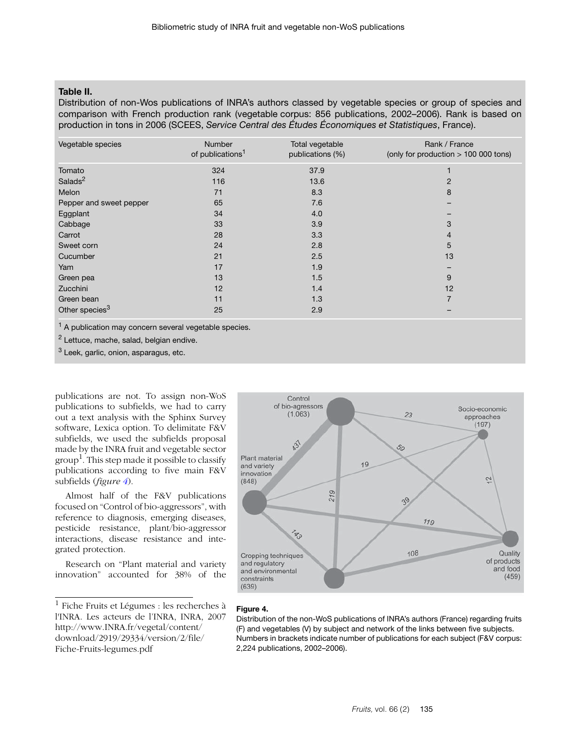## **Table II.**

Distribution of non-Wos publications of INRA's authors classed by vegetable species or group of species and comparison with French production rank (vegetable corpus: 856 publications, 2002–2006). Rank is based on production in tons in 2006 (SCEES, *Service Central des Études Économiques et Statistiques*, France).

| Vegetable species          | <b>Number</b><br>of publications <sup>1</sup> | Total vegetable<br>publications (%) | Rank / France<br>(only for production $> 100 000$ tons) |
|----------------------------|-----------------------------------------------|-------------------------------------|---------------------------------------------------------|
| Tomato                     | 324                                           | 37.9                                |                                                         |
| Salads <sup>2</sup>        | 116                                           | 13.6                                | 2                                                       |
| Melon                      | 71                                            | 8.3                                 | 8                                                       |
| Pepper and sweet pepper    | 65                                            | 7.6                                 |                                                         |
| Eggplant                   | 34                                            | 4.0                                 |                                                         |
| Cabbage                    | 33                                            | 3.9                                 | 3                                                       |
| Carrot                     | 28                                            | 3.3                                 | 4                                                       |
| Sweet corn                 | 24                                            | 2.8                                 | 5                                                       |
| Cucumber                   | 21                                            | 2.5                                 | 13                                                      |
| Yam                        | 17                                            | 1.9                                 |                                                         |
| Green pea                  | 13                                            | 1.5                                 | 9                                                       |
| Zucchini                   | 12                                            | 1.4                                 | 12                                                      |
| Green bean                 | 11                                            | 1.3                                 | 7                                                       |
| Other species <sup>3</sup> | 25                                            | 2.9                                 |                                                         |

<sup>1</sup> A publication may concern several vegetable species.

2 Lettuce, mache, salad, belgian endive.

3 Leek, garlic, onion, asparagus, etc.

publications are not. To assign non-WoS publications to subfields, we had to carry out a text analysis with the Sphinx Survey software, Lexica option. To delimitate F&V subfields, we used the subfields proposal made by the INRA fruit and vegetable sector group<sup>1</sup>. This step made it possible to classify publications according to five main F&V subfields (*figure 4*).

Almost half of the F&V publications focused on "Control of bio-aggressors", with reference to diagnosis, emerging diseases, pesticide resistance, plant/bio-aggressor interactions, disease resistance and integrated protection.

Research on "Plant material and variety innovation" accounted for 38% of the

<sup>1</sup> Fiche Fruits et Légumes : les recherches à l'INRA. Les acteurs de l'INRA, INRA, 2007 http://www.INRA.fr/vegetal/content/ download/2919/29334/version/2/file/ Fiche-Fruits-legumes.pdf



#### **Figure 4.**

Distribution of the non-WoS publications of INRA's authors (France) regarding fruits (F) and vegetables (V) by subject and network of the links between five subjects. Numbers in brackets indicate number of publications for each subject (F&V corpus: 2,224 publications, 2002–2006).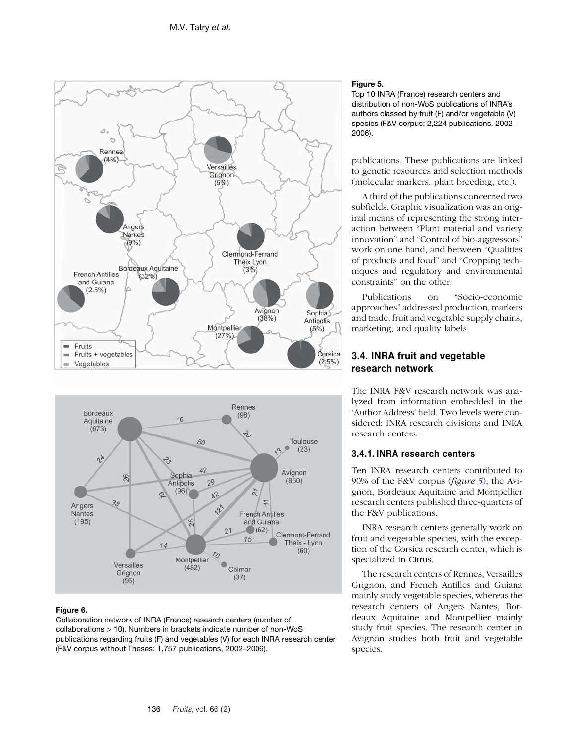<span id="page-5-0"></span>



#### **Figure 6.**

Collaboration network of INRA (France) research centers (number of collaborations > 10). Numbers in brackets indicate number of non-WoS publications regarding fruits (F) and vegetables (V) for each INRA research center (F&V corpus without Theses: 1,757 publications, 2002–2006).

#### **Figure 5.**

Top 10 INRA (France) research centers and distribution of non-WoS publications of INRA's authors classed by fruit (F) and/or vegetable (V) species (F&V corpus: 2,224 publications, 2002– 2006).

publications. These publications are linked to genetic resources and selection methods (molecular markers, plant breeding, etc.).

A third of the publications concerned two subfields. Graphic visualization was an original means of representing the strong interaction between "Plant material and variety innovation" and "Control of bio-aggressors" work on one hand, and between "Qualities of products and food" and "Cropping techniques and regulatory and environmental constraints" on the other.

Publications on "Socio-economic approaches" addressed production, markets and trade, fruit and vegetable supply chains, marketing, and quality labels.

# **3.4. INRA fruit and vegetable research network**

The INRA F&V research network was analyzed from information embedded in the 'Author Address' field. Two levels were considered: INRA research divisions and INRA research centers.

### **3.4.1. INRA research centers**

Ten INRA research centers contributed to 90% of the F&V corpus (*figure 5*); the Avignon, Bordeaux Aquitaine and Montpellier research centers published three-quarters of the F&V publications.

INRA research centers generally work on fruit and vegetable species, with the exception of the Corsica research center, which is specialized in Citrus.

The research centers of Rennes, Versailles Grignon, and French Antilles and Guiana mainly study vegetable species, whereas the research centers of Angers Nantes, Bordeaux Aquitaine and Montpellier mainly study fruit species. The research center in Avignon studies both fruit and vegetable species.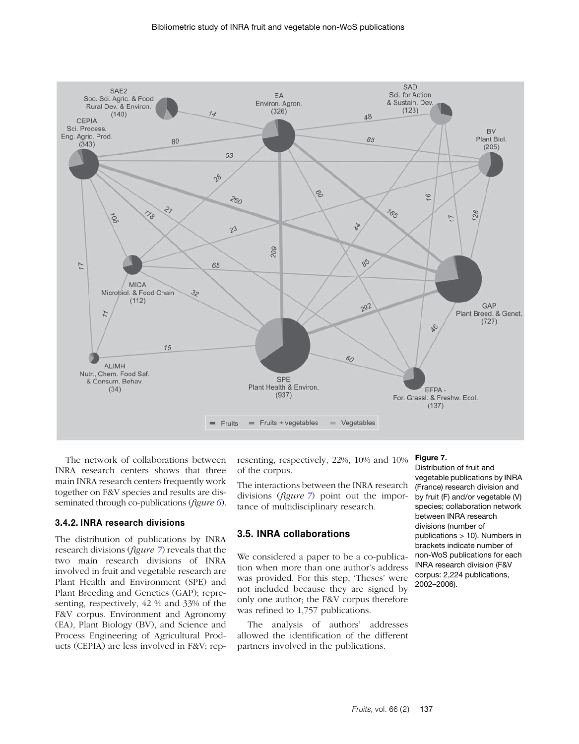

The network of collaborations between INRA research centers shows that three main INRA research centers frequently work together on F&V species and results are disseminated through co-publications (*figure [6](#page-5-0)*).

#### **3.4.2. INRA research divisions**

The distribution of publications by INRA research divisions (*figure 7*) reveals that the two main research divisions of INRA involved in fruit and vegetable research are Plant Health and Environment (SPE) and Plant Breeding and Genetics (GAP); representing, respectively, 42 % and 33% of the F&V corpus. Environment and Agronomy (EA), Plant Biology (BV), and Science and Process Engineering of Agricultural Products (CEPIA) are less involved in F&V; rep-

resenting, respectively, 22%, 10% and 10% of the corpus.

The interactions between the INRA research divisions (*figure 7*) point out the importance of multidisciplinary research.

## **3.5. INRA collaborations**

We considered a paper to be a co-publication when more than one author's address was provided. For this step, 'Theses' were not included because they are signed by only one author; the F&V corpus therefore was refined to 1,757 publications.

The analysis of authors' addresses allowed the identification of the different partners involved in the publications.

#### **Figure 7.**

Distribution of fruit and vegetable publications by INRA (France) research division and by fruit (F) and/or vegetable (V) species; collaboration network between INRA research divisions (number of publications > 10). Numbers in brackets indicate number of non-WoS publications for each INRA research division (F&V corpus: 2,224 publications, 2002–2006).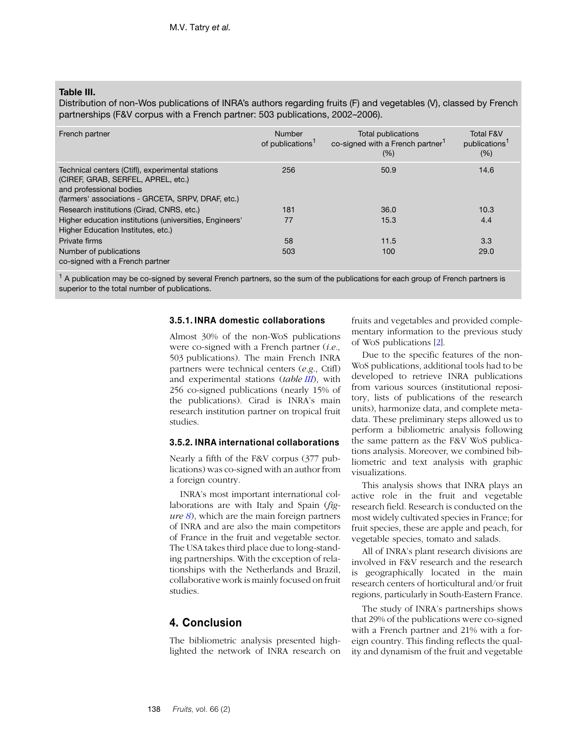## **Table III.**

Distribution of non-Wos publications of INRA's authors regarding fruits (F) and vegetables (V), classed by French partnerships (F&V corpus with a French partner: 503 publications, 2002–2006).

| French partner                                                                                                                                                          | Number<br>of publications <sup>1</sup> | Total publications<br>co-signed with a French partner <sup>1</sup><br>$(\% )$ | <b>Total F&amp;V</b><br>publications <sup>1</sup><br>(% ) |
|-------------------------------------------------------------------------------------------------------------------------------------------------------------------------|----------------------------------------|-------------------------------------------------------------------------------|-----------------------------------------------------------|
| Technical centers (Ctifl), experimental stations<br>(CIREF, GRAB, SERFEL, APREL, etc.)<br>and professional bodies<br>(farmers' associations - GRCETA, SRPV, DRAF, etc.) | 256                                    | 50.9                                                                          | 14.6                                                      |
| Research institutions (Cirad, CNRS, etc.)                                                                                                                               | 181                                    | 36.0                                                                          | 10.3                                                      |
| Higher education institutions (universities, Engineers'<br>Higher Education Institutes, etc.)                                                                           | 77                                     | 15.3                                                                          | 4.4                                                       |
| Private firms                                                                                                                                                           | 58                                     | 11.5                                                                          | 3.3                                                       |
| Number of publications<br>co-signed with a French partner                                                                                                               | 503                                    | 100                                                                           | 29.0                                                      |

 $1$  A publication may be co-signed by several French partners, so the sum of the publications for each group of French partners is superior to the total number of publications.

#### **3.5.1. INRA domestic collaborations**

Almost 30% of the non-WoS publications were co-signed with a French partner (*i.e.,* 503 publications). The main French INRA partners were technical centers (*e.g*., Ctifl) and experimental stations (*table III*), with 256 co-signed publications (nearly 15% of the publications). Cirad is INRA's main research institution partner on tropical fruit studies.

#### **3.5.2. INRA international collaborations**

Nearly a fifth of the F&V corpus (377 publications) was co-signed with an author from a foreign country.

INRA's most important international collaborations are with Italy and Spain (*figure [8](#page-8-1)*), which are the main foreign partners of INRA and are also the main competitors of France in the fruit and vegetable sector. The USA takes third place due to long-standing partnerships. With the exception of relationships with the Netherlands and Brazil, collaborative work is mainly focused on fruit studies.

## **4. Conclusion**

The bibliometric analysis presented highlighted the network of INRA research on fruits and vegetables and provided complementary information to the previous study of WoS publications [\[2\]](#page-9-0).

Due to the specific features of the non-WoS publications, additional tools had to be developed to retrieve INRA publications from various sources (institutional repository, lists of publications of the research units), harmonize data, and complete metadata. These preliminary steps allowed us to perform a bibliometric analysis following the same pattern as the F&V WoS publications analysis. Moreover, we combined bibliometric and text analysis with graphic visualizations.

This analysis shows that INRA plays an active role in the fruit and vegetable research field. Research is conducted on the most widely cultivated species in France; for fruit species, these are apple and peach, for vegetable species, tomato and salads.

All of INRA's plant research divisions are involved in F&V research and the research is geographically located in the main research centers of horticultural and/or fruit regions, particularly in South-Eastern France.

The study of INRA's partnerships shows that 29% of the publications were co-signed with a French partner and 21% with a foreign country. This finding reflects the quality and dynamism of the fruit and vegetable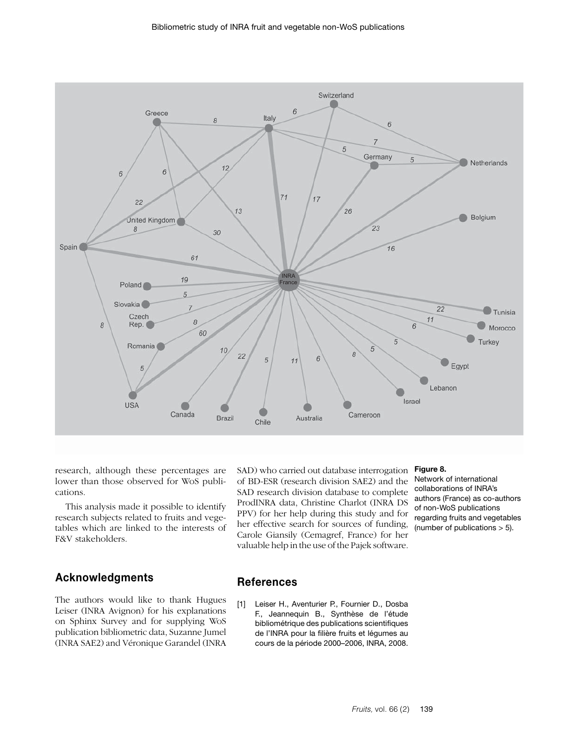<span id="page-8-1"></span>

research, although these percentages are lower than those observed for WoS publications.

This analysis made it possible to identify research subjects related to fruits and vegetables which are linked to the interests of F&V stakeholders.

# **Acknowledgments**

The authors would like to thank Hugues Leiser (INRA Avignon) for his explanations on Sphinx Survey and for supplying WoS publication bibliometric data, Suzanne Jumel (INRA SAE2) and Véronique Garandel (INRA SAD) who carried out database interrogation of BD-ESR (research division SAE2) and the SAD research division database to complete ProdINRA data, Christine Charlot (INRA DS PPV) for her help during this study and for her effective search for sources of funding, Carole Giansily (Cemagref, France) for her valuable help in the use of the Pajek software.

#### **Figure 8.**

Network of international collaborations of INRA's authors (France) as co-authors of non-WoS publications regarding fruits and vegetables (number of publications > 5).

## **References**

<span id="page-8-0"></span>[1] Leiser H., Aventurier P., Fournier D., Dosba F., Jeannequin B., Synthèse de l'étude bibliométrique des publications scientifiques de l'INRA pour la filière fruits et légumes au cours de la période 2000–2006, INRA, 2008.